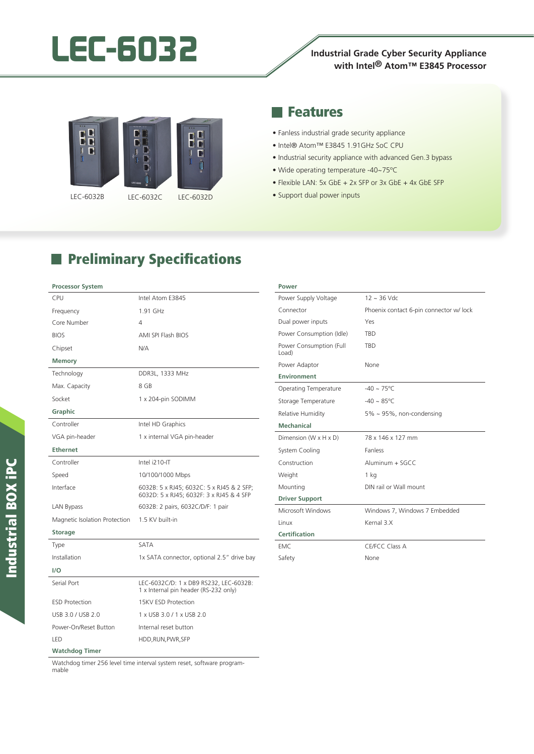# LEC-6032 **Industrial Grade Cyber Security Appliance**

# **with Intel® Atom™ E3845 Processor**



LEC-6032B LEC-6032C LEC-6032D

### **Reatures**

- Fanless industrial grade security appliance
- Intel® Atom™ E3845 1.91GHz SoC CPU
- Industrial security appliance with advanced Gen.3 bypass
- Wide operating temperature -40~75ºC
- Flexible LAN: 5x GbE + 2x SFP or 3x GbE + 4x GbE SFP
- Support dual power inputs

# **Preliminary Specifications**

#### **Processor System**

| CPU                           | Intel Atom E3845                                                                      |
|-------------------------------|---------------------------------------------------------------------------------------|
| Frequency                     | 1.91 GHz                                                                              |
| Core Number                   | 4                                                                                     |
| <b>BIOS</b>                   | AMI SPI Flash BIOS                                                                    |
| Chipset                       | N/A                                                                                   |
| <b>Memory</b>                 |                                                                                       |
| Technology                    | DDR3L, 1333 MHz                                                                       |
| Max. Capacity                 | 8 GB                                                                                  |
| Socket                        | 1 x 204-pin SODIMM                                                                    |
| Graphic                       |                                                                                       |
| Controller                    | Intel HD Graphics                                                                     |
| VGA pin-header                | 1 x internal VGA pin-header                                                           |
| <b>Ethernet</b>               |                                                                                       |
| Controller                    | Intel i210-IT                                                                         |
| Speed                         | 10/100/1000 Mbps                                                                      |
| Interface                     | 6032B: 5 x RJ45; 6032C: 5 x RJ45 & 2 SFP;<br>6032D: 5 x RJ45; 6032F: 3 x RJ45 & 4 SFP |
| <b>LAN Bypass</b>             | 6032B: 2 pairs, 6032C/D/F: 1 pair                                                     |
| Magnetic Isolation Protection | 1.5 KV built-in                                                                       |
| <b>Storage</b>                |                                                                                       |
| Type                          | SATA                                                                                  |
| Installation                  | 1x SATA connector, optional 2.5" drive bay                                            |
| 1/O                           |                                                                                       |
| Serial Port                   | LEC-6032C/D: 1 x DB9 RS232, LEC-6032B:<br>1 x Internal pin header (RS-232 only)       |
| <b>ESD Protection</b>         | 15KV ESD Protection                                                                   |
| USB 3.0 / USB 2.0             | 1 x USB 3.0 / 1 x USB 2.0                                                             |
| Power-On/Reset Button         | Internal reset button                                                                 |
| LED                           | HDD, RUN, PWR, SFP                                                                    |
| <b>Watchdog Timer</b>         |                                                                                       |

| Power                            |                                         |
|----------------------------------|-----------------------------------------|
| Power Supply Voltage             | $12 \approx 36$ Vdc                     |
| Connector                        | Phoenix contact 6-pin connector w/ lock |
| Dual power inputs                | Yes                                     |
| Power Consumption (Idle)         | <b>TBD</b>                              |
| Power Consumption (Full<br>Load) | <b>TBD</b>                              |
| Power Adaptor                    | None                                    |
| <b>Environment</b>               |                                         |
| <b>Operating Temperature</b>     | $-40 \sim 75^{\circ}$ C                 |
| Storage Temperature              | $-40 \sim 85^{\circ}$ C                 |
| Relative Humidity                | $5\% \sim 95\%$ , non-condensing        |
| <b>Mechanical</b>                |                                         |
| Dimension (W x H x D)            | 78 x 146 x 127 mm                       |
| System Cooling                   | <b>Fanless</b>                          |
| Construction                     | Aluminum + SGCC                         |
| Weight                           | 1 <sub>kg</sub>                         |
| Mounting                         | DIN rail or Wall mount                  |
| <b>Driver Support</b>            |                                         |
| Microsoft Windows                | Windows 7, Windows 7 Embedded           |
| Linux                            | Kernal 3.X                              |
| Certification                    |                                         |
| <b>EMC</b>                       | CE/FCC Class A                          |
| Safety                           | None                                    |
|                                  |                                         |

Watchdog timer 256 level time interval system reset, software programmable